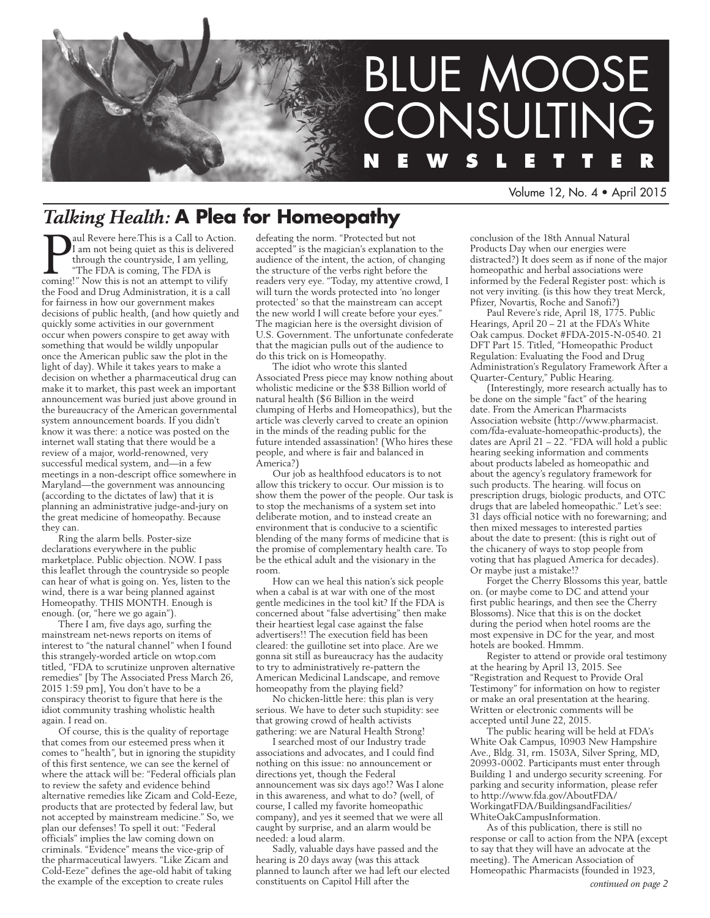

Volume 12, No. 4 • April 2015

# *Talking Health:* **A Plea for Homeopathy**

**P** aul Revere here.This is a Call to Action<br>I am not being quiet as this is delivered<br>through the countryside, I am yelling,<br>"The FDA is coming, The FDA is<br>coming!" Now this is not an attempt to vilify aul Revere here.This is a Call to Action. am not being quiet as this is delivered through the countryside, I am yelling, "The FDA is coming, The FDA is the Food and Drug Administration, it is a call for fairness in how our government makes decisions of public health, (and how quietly and quickly some activities in our government occur when powers conspire to get away with something that would be wildly unpopular once the American public saw the plot in the light of day). While it takes years to make a decision on whether a pharmaceutical drug can make it to market, this past week an important announcement was buried just above ground in the bureaucracy of the American governmental system announcement boards. If you didn't know it was there: a notice was posted on the internet wall stating that there would be a review of a major, world-renowned, very successful medical system, and—in a few meetings in a non-descript office somewhere in Maryland—the government was announcing (according to the dictates of law) that it is planning an administrative judge-and-jury on the great medicine of homeopathy. Because they can.

Ring the alarm bells. Poster-size declarations everywhere in the public marketplace. Public objection. NOW. I pass this leaflet through the countryside so people can hear of what is going on. Yes, listen to the wind, there is a war being planned against Homeopathy. THIS MONTH. Enough is enough. (or, "here we go again").

There I am, five days ago, surfing the mainstream net-news reports on items of interest to "the natural channel" when I found this strangely-worded article on wtop.com titled, "FDA to scrutinize unproven alternative remedies" [by The Associated Press March 26, 2015 1:59 pm], You don't have to be a conspiracy theorist to figure that here is the idiot community trashing wholistic health again. I read on.

Of course, this is the quality of reportage that comes from our esteemed press when it comes to "health", but in ignoring the stupidity of this first sentence, we can see the kernel of where the attack will be: "Federal officials plan to review the safety and evidence behind alternative remedies like Zicam and Cold-Eeze, products that are protected by federal law, but not accepted by mainstream medicine." So, we plan our defenses! To spell it out: "Federal officials" implies the law coming down on criminals. "Evidence" means the vice-grip of the pharmaceutical lawyers. "Like Zicam and Cold-Eeze" defines the age-old habit of taking the example of the exception to create rules

defeating the norm. "Protected but not accepted" is the magician's explanation to the audience of the intent, the action, of changing the structure of the verbs right before the readers very eye. "Today, my attentive crowd, I will turn the words protected into 'no longer protected' so that the mainstream can accept the new world I will create before your eyes." The magician here is the oversight division of U.S. Government. The unfortunate confederate that the magician pulls out of the audience to do this trick on is Homeopathy.

The idiot who wrote this slanted Associated Press piece may know nothing about wholistic medicine or the \$38 Billion world of natural health (\$6 Billion in the weird clumping of Herbs and Homeopathics), but the article was cleverly carved to create an opinion in the minds of the reading public for the future intended assassination! (Who hires these people, and where is fair and balanced in America?)

Our job as healthfood educators is to not allow this trickery to occur. Our mission is to show them the power of the people. Our task is to stop the mechanisms of a system set into deliberate motion, and to instead create an environment that is conducive to a scientific blending of the many forms of medicine that is the promise of complementary health care. To be the ethical adult and the visionary in the room.

How can we heal this nation's sick people when a cabal is at war with one of the most gentle medicines in the tool kit? If the FDA is concerned about "false advertising" then make their heartiest legal case against the false advertisers!! The execution field has been cleared: the guillotine set into place. Are we gonna sit still as bureaucracy has the audacity to try to administratively re-pattern the American Medicinal Landscape, and remove homeopathy from the playing field?

No chicken-little here: this plan is very serious. We have to deter such stupidity: see that growing crowd of health activists gathering: we are Natural Health Strong!

I searched most of our Industry trade associations and advocates, and I could find nothing on this issue: no announcement or directions yet, though the Federal announcement was six days ago!? Was I alone in this awareness, and what to do? (well, of course, I called my favorite homeopathic company), and yes it seemed that we were all caught by surprise, and an alarm would be needed: a loud alarm.

Sadly, valuable days have passed and the hearing is 20 days away (was this attack planned to launch after we had left our elected constituents on Capitol Hill after the

conclusion of the 18th Annual Natural Products Day when our energies were distracted?) It does seem as if none of the major homeopathic and herbal associations were informed by the Federal Register post: which is not very inviting. (is this how they treat Merck, Pfizer, Novartis, Roche and Sanofi?)

Paul Revere's ride, April 18, 1775. Public Hearings, April 20 – 21 at the FDA's White Oak campus. Docket #FDA-2015-N-0540. 21 DFT Part 15. Titled, "Homeopathic Product Regulation: Evaluating the Food and Drug Administration's Regulatory Framework After a Quarter-Century," Public Hearing.

(Interestingly, more research actually has to be done on the simple "fact" of the hearing date. From the American Pharmacists Association website (http://www.pharmacist. com/fda-evaluate-homeopathic-products), the dates are April 21 – 22. "FDA will hold a public hearing seeking information and comments about products labeled as homeopathic and about the agency's regulatory framework for such products. The hearing. will focus on prescription drugs, biologic products, and OTC drugs that are labeled homeopathic." Let's see: 31 days official notice with no forewarning; and then mixed messages to interested parties about the date to present: (this is right out of the chicanery of ways to stop people from voting that has plagued America for decades). Or maybe just a mistake!?

Forget the Cherry Blossoms this year, battle on. (or maybe come to DC and attend your first public hearings, and then see the Cherry Blossoms). Nice that this is on the docket during the period when hotel rooms are the most expensive in DC for the year, and most hotels are booked. Hmmm.

Register to attend or provide oral testimony at the hearing by April 13, 2015. See "Registration and Request to Provide Oral Testimony" for information on how to register or make an oral presentation at the hearing. Written or electronic comments will be accepted until June 22, 2015.

The public hearing will be held at FDA's White Oak Campus, 10903 New Hampshire Ave., Bldg. 31, rm. 1503A, Silver Spring, MD, 20993-0002. Participants must enter through Building 1 and undergo security screening. For parking and security information, please refer to http://www.fda.gov/AboutFDA/ WorkingatFDA/BuildingsandFacilities/ WhiteOakCampusInformation.

As of this publication, there is still no response or call to action from the NPA (except to say that they will have an advocate at the meeting). The American Association of Homeopathic Pharmacists (founded in 1923,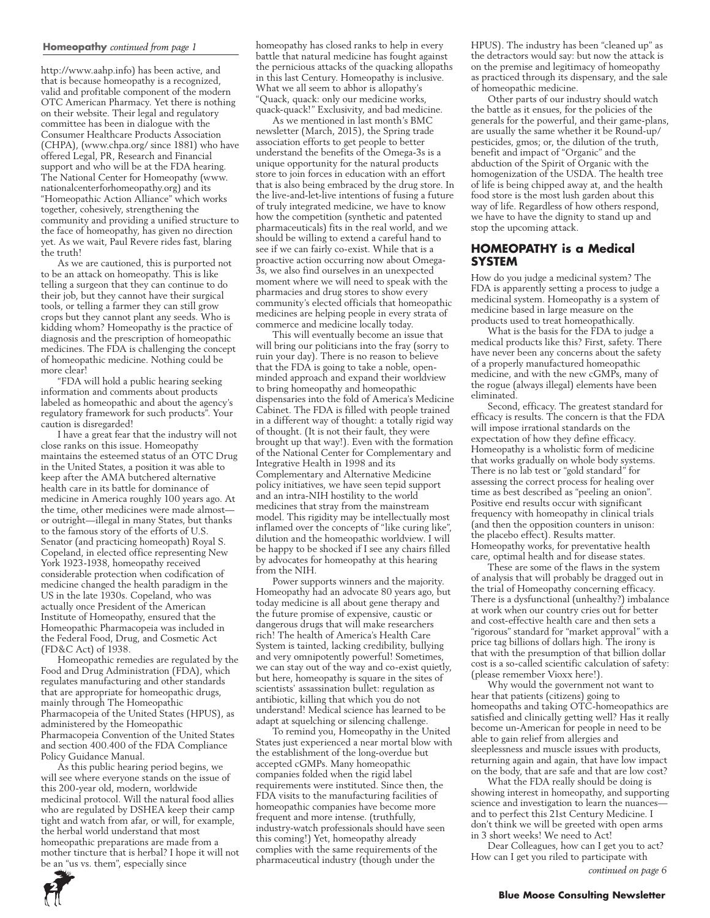#### **Homeopathy** *continued from page 1*

http://www.aahp.info) has been active, and that is because homeopathy is a recognized, valid and profitable component of the modern OTC American Pharmacy. Yet there is nothing on their website. Their legal and regulatory committee has been in dialogue with the Consumer Healthcare Products Association (CHPA), (www.chpa.org/ since 1881) who have offered Legal, PR, Research and Financial support and who will be at the FDA hearing. The National Center for Homeopathy (www. nationalcenterforhomeopathy.org) and its "Homeopathic Action Alliance" which works together, cohesively, strengthening the community and providing a unified structure to the face of homeopathy, has given no direction yet. As we wait, Paul Revere rides fast, blaring the truth!

As we are cautioned, this is purported not to be an attack on homeopathy. This is like telling a surgeon that they can continue to do their job, but they cannot have their surgical tools, or telling a farmer they can still grow crops but they cannot plant any seeds. Who is kidding whom? Homeopathy is the practice of diagnosis and the prescription of homeopathic medicines. The FDA is challenging the concept of homeopathic medicine. Nothing could be more clear!

"FDA will hold a public hearing seeking information and comments about products labeled as homeopathic and about the agency's regulatory framework for such products". Your caution is disregarded!

I have a great fear that the industry will not close ranks on this issue. Homeopathy maintains the esteemed status of an OTC Drug in the United States, a position it was able to keep after the AMA butchered alternative health care in its battle for dominance of medicine in America roughly 100 years ago. At the time, other medicines were made almost or outright—illegal in many States, but thanks to the famous story of the efforts of U.S. Senator (and practicing homeopath) Royal S. Copeland, in elected office representing New York 1923-1938, homeopathy received considerable protection when codification of medicine changed the health paradigm in the US in the late 1930s. Copeland, who was actually once President of the American Institute of Homeopathy, ensured that the Homeopathic Pharmacopeia was included in the Federal Food, Drug, and Cosmetic Act (FD&C Act) of 1938.

Homeopathic remedies are regulated by the Food and Drug Administration (FDA), which regulates manufacturing and other standards that are appropriate for homeopathic drugs, mainly through The Homeopathic Pharmacopeia of the United States (HPUS), as administered by the Homeopathic Pharmacopeia Convention of the United States and section 400.400 of the FDA Compliance Policy Guidance Manual.

As this public hearing period begins, we will see where everyone stands on the issue of this 200-year old, modern, worldwide medicinal protocol. Will the natural food allies who are regulated by DSHEA keep their camp tight and watch from afar, or will, for example, the herbal world understand that most homeopathic preparations are made from a mother tincture that is herbal? I hope it will not be an "us vs. them", especially since

homeopathy has closed ranks to help in every battle that natural medicine has fought against the pernicious attacks of the quacking allopaths in this last Century. Homeopathy is inclusive. What we all seem to abhor is allopathy's "Quack, quack: only our medicine works, quack-quack!" Exclusivity, and bad medicine.

As we mentioned in last month's BMC newsletter (March, 2015), the Spring trade association efforts to get people to better understand the benefits of the Omega-3s is a unique opportunity for the natural products store to join forces in education with an effort that is also being embraced by the drug store. In the live-and-let-live intentions of fusing a future of truly integrated medicine, we have to know how the competition (synthetic and patented pharmaceuticals) fits in the real world, and we should be willing to extend a careful hand to see if we can fairly co-exist. While that is a proactive action occurring now about Omega-3s, we also find ourselves in an unexpected moment where we will need to speak with the pharmacies and drug stores to show every community's elected officials that homeopathic medicines are helping people in every strata of commerce and medicine locally today.

This will eventually become an issue that will bring our politicians into the fray (sorry to ruin your day). There is no reason to believe that the FDA is going to take a noble, openminded approach and expand their worldview to bring homeopathy and homeopathic dispensaries into the fold of America's Medicine Cabinet. The FDA is filled with people trained in a different way of thought: a totally rigid way of thought. (It is not their fault, they were brought up that way!). Even with the formation of the National Center for Complementary and Integrative Health in 1998 and its Complementary and Alternative Medicine policy initiatives, we have seen tepid support and an intra-NIH hostility to the world medicines that stray from the mainstream model. This rigidity may be intellectually most inflamed over the concepts of "like curing like", dilution and the homeopathic worldview. I will be happy to be shocked if I see any chairs filled by advocates for homeopathy at this hearing from the NIH.

Power supports winners and the majority. Homeopathy had an advocate 80 years ago, but today medicine is all about gene therapy and the future promise of expensive, caustic or dangerous drugs that will make researchers rich! The health of America's Health Care System is tainted, lacking credibility, bullying and very omnipotently powerful! Sometimes, we can stay out of the way and co-exist quietly, but here, homeopathy is square in the sites of scientists' assassination bullet: regulation as antibiotic, killing that which you do not understand! Medical science has learned to be adapt at squelching or silencing challenge.

To remind you, Homeopathy in the United States just experienced a near mortal blow with the establishment of the long-overdue but accepted cGMPs. Many homeopathic companies folded when the rigid label requirements were instituted. Since then, the FDA visits to the manufacturing facilities of homeopathic companies have become more frequent and more intense. (truthfully, industry-watch professionals should have seen this coming!) Yet, homeopathy already complies with the same requirements of the pharmaceutical industry (though under the

HPUS). The industry has been "cleaned up" as the detractors would say: but now the attack is on the premise and legitimacy of homeopathy as practiced through its dispensary, and the sale of homeopathic medicine.

Other parts of our industry should watch the battle as it ensues, for the policies of the generals for the powerful, and their game-plans, are usually the same whether it be Round-up/ pesticides, gmos; or, the dilution of the truth, benefit and impact of "Organic" and the abduction of the Spirit of Organic with the homogenization of the USDA. The health tree of life is being chipped away at, and the health food store is the most lush garden about this way of life. Regardless of how others respond, we have to have the dignity to stand up and stop the upcoming attack.

#### **HOMEOPATHY is a Medical SYSTEM**

How do you judge a medicinal system? The FDA is apparently setting a process to judge a medicinal system. Homeopathy is a system of medicine based in large measure on the products used to treat homeopathically.

What is the basis for the FDA to judge a medical products like this? First, safety. There have never been any concerns about the safety of a properly manufactured homeopathic medicine, and with the new cGMPs, many of the rogue (always illegal) elements have been eliminated.

Second, efficacy. The greatest standard for efficacy is results. The concern is that the FDA will impose irrational standards on the expectation of how they define efficacy. Homeopathy is a wholistic form of medicine that works gradually on whole body systems. There is no lab test or "gold standard" for assessing the correct process for healing over time as best described as "peeling an onion". Positive end results occur with significant frequency with homeopathy in clinical trials (and then the opposition counters in unison: the placebo effect). Results matter. Homeopathy works, for preventative health care, optimal health and for disease states.

These are some of the flaws in the system of analysis that will probably be dragged out in the trial of Homeopathy concerning efficacy. There is a dysfunctional (unhealthy?) imbalance at work when our country cries out for better and cost-effective health care and then sets a "rigorous" standard for "market approval" with a price tag billions of dollars high. The irony is that with the presumption of that billion dollar cost is a so-called scientific calculation of safety: (please remember Vioxx here!).

Why would the government not want to hear that patients (citizens) going to homeopaths and taking OTC-homeopathics are satisfied and clinically getting well? Has it really become un-American for people in need to be able to gain relief from allergies and sleeplessness and muscle issues with products, returning again and again, that have low impact on the body, that are safe and that are low cost?

What the FDA really should be doing is showing interest in homeopathy, and supporting science and investigation to learn the nuances and to perfect this 21st Century Medicine. I don't think we will be greeted with open arms in 3 short weeks! We need to Act!

Dear Colleagues, how can I get you to act? How can I get you riled to participate with

*continued on page 6*

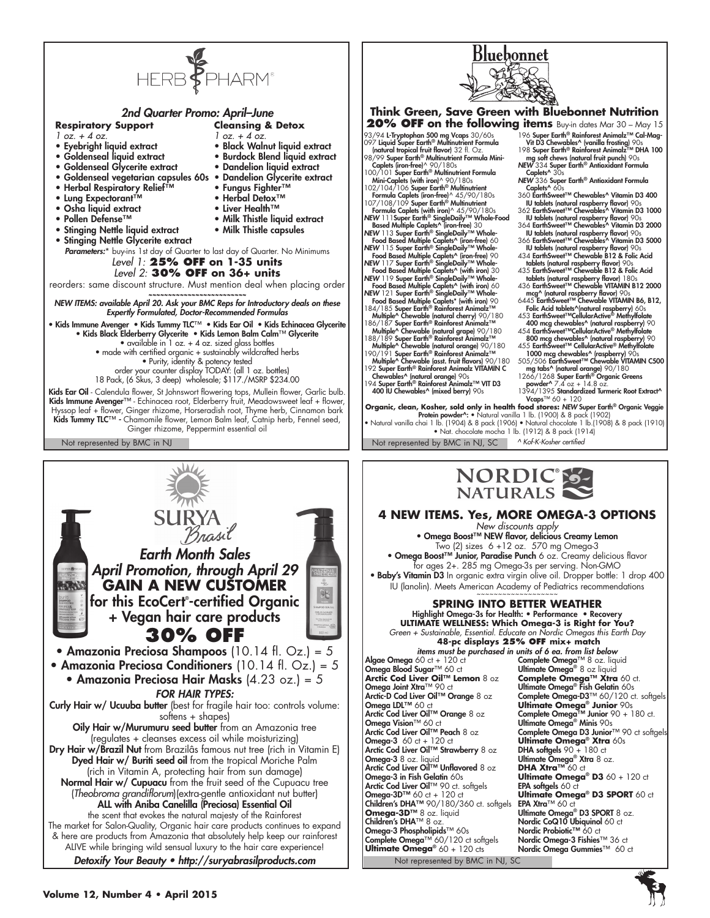

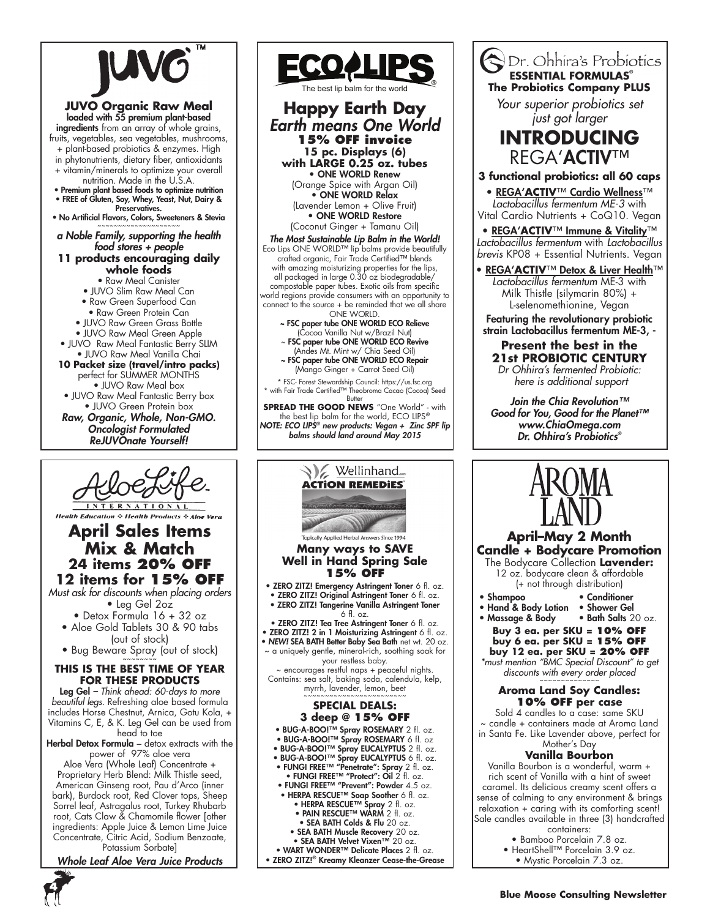

## **JUVO Organic Raw Meal** loaded with 55 premium plant-based

ingredients from an array of whole grains, fruits, vegetables, sea vegetables, mushrooms, + plant-based probiotics & enzymes. High

in phytonutrients, dietary fiber, antioxidants + vitamin/minerals to optimize your overall

- nutrition. Made in the U.S.A.
- Premium plant based foods to optimize nutrition • FREE of Gluten, Soy, Whey, Yeast, Nut, Dairy &
- Preservatives. • No Artificial Flavors, Colors, Sweeteners & Stevia

*a Noble Family, supporting the health food stores + people*

**11 products encouraging daily whole foods**

• Raw Meal Canister

- JUVO Slim Raw Meal Can
- Raw Green Superfood Can
- Raw Green Protein Can
- JUVO Raw Green Grass Bottle
- JUVO Raw Meal Green Apple
- JUVO Raw Meal Fantastic Berry SLIM • JUVO Raw Meal Vanilla Chai
- **10 Packet size (travel/intro packs)**  perfect for SUMMER MONTHS
- JUVO Raw Meal box • JUVO Raw Meal Fantastic Berry box
- JUVO Green Protein box
- *Raw, Organic, Whole, Non-GMO. Oncologist Formulated ReJUVOnate Yourself!*



**Health Education & Health Products & Aloe Vera** 

# **April Sales Items Mix & Match 24 items 20% OFF 12 items for 15% OFF**

*Must ask for discounts when placing orders* • Leg Gel 2oz

- Detox Formula 16 + 32 oz
- Aloe Gold Tablets 30 & 90 tabs (out of stock)
- Bug Beware Spray (out of stock)

**THIS IS THE BEST TIME OF YEAR** 

**FOR THESE PRODUCTS** Leg Gel *– Think ahead: 60-days to more beautiful legs.* Refreshing aloe based formula includes Horse Chestnut, Arnica, Gotu Kola, +

Vitamins C, E, & K. Leg Gel can be used from head to toe Herbal Detox Formula - detox extracts with the

power of 97% aloe vera Aloe Vera (Whole Leaf) Concentrate + Proprietary Herb Blend: Milk Thistle seed, American Ginseng root, Pau d'Arco (inner bark), Burdock root, Red Clover tops, Sheep Sorrel leaf, Astragalus root, Turkey Rhubarb root, Cats Claw & Chamomile flower [other ingredients: Apple Juice & Lemon Lime Juice Concentrate, Citric Acid, Sodium Benzoate, Potassium Sorbate]

*Whole Leaf Aloe Vera Juice Products*



#### **Happy Earth Day** *Earth means One World* **15% OFF invoice 15 pc. Displays (6) with LARGE 0.25 oz. tubes** • ONE WORLD Renew (Orange Spice with Argan Oil) • ONE WORLD Relax (Lavender Lemon + Olive Fruit) • ONE WORLD Restore (Coconut Ginger + Tamanu Oil) *The Most Sustainable Lip Balm in the World!* Eco Lips ONE WORLD™ lip balms provide beautifully crafted organic, Fair Trade Certified™ blends with amazing moisturizing properties for the lips, all packaged in large 0.30 oz biodegradable/ compostable paper tubes. Exotic oils from specific world regions provide consumers with an opportunity to connect to the source + be reminded that we all share ONE WORLD.<br>FSC paper tube ONE WORLD ECO Relieve ~ (Cocoa Vanilla Nut w/Brazil Nut) ~ FSC paper tube ONE WORLD ECO Revive (Andes Mt. Mint w/ Chia Seed Oil) ~ FSC paper tube ONE WORLD ECO Repair (Mango Ginger + Carrot Seed Oil) \* FSC- Forest Stewardship Council: https://us.fsc.org \* with Fair Trade Certified™ Theobroma Cacao (Cocoa) Seed Butter **SPREAD THE GOOD NEWS** "One World" - with the best lip balm for the world, ECO LIPS*® NOTE: ECO LIPS® new products: Vegan + Zinc SPF lip*  The best lip balm for the world

*balms should land around May 2015*



• ZERO ZITZ!® Kreamy Kleanzer Cease-the-Grease

# $\bigotimes$  Dr. Ohhira's Probiotics **The Probiotics Company PLUS**

*Your superior probiotics set just got larger*



## **3 functional probiotics: all 60 caps**

• REGA'**ACTIV**™ Cardio Wellness™ *Lactobacillus fermentum ME-3* with Vital Cardio Nutrients + CoQ10. Vegan

• REGA'**ACTIV**™ Immune & Vitality™ *Lactobacillus fermentum* with *Lactobacillus brevis* KP08 + Essential Nutrients. Vegan

**REGA'ACTIV™ Detox & Liver Health™** *Lactobacillus fermentum* ME-3 with Milk Thistle (silymarin 80%) + L-selenomethionine, Vegan

Featuring the revolutionary probiotic strain Lactobacillus fermentum ME-3, -

# **Present the best in the 21st PROBIOTIC CENTURY**

*Dr Ohhira's fermented Probiotic: here is additional support* 

*Join the Chia Revolution™ Good for You, Good for the Planet™ www.ChiaOmega.com Dr. Ohhira's Probiotics®*



# **April–May 2 Month Candle + Bodycare Promotion** The Bodycare Collection **Lavender:**

12 oz. bodycare clean & affordable (+ not through distribution)

- Shampoo Conditioner
- Hand & Body Lotion Shower Gel<br>• Massage & Body Bath Salts 20 oz.
- Massage & Body
	- **Buy 3 ea. per SKU = 10% OFF buy 6 ea. per SKU = 15% OFF buy 12 ea. per SKU = 20% OFF**

*\*must mention "BMC Special Discount" to get*  discounts with every order placed

## **Aroma Land Soy Candles: 10% OFF per case**

Sold 4 candles to a case: same SKU ~ candle + containers made at Aroma Land in Santa Fe. Like Lavender above, perfect for Mother's Day

# **Vanilla Bourbon**

Vanilla Bourbon is a wonderful, warm + rich scent of Vanilla with a hint of sweet caramel. Its delicious creamy scent offers a sense of calming to any environment & brings relaxation + caring with its comforting scent! Sale candles available in three (3) handcrafted

- containers: • Bamboo Porcelain 7.8 oz.
- HeartShell™ Porcelain 3.9 oz.
	- Mystic Porcelain 7.3 oz.

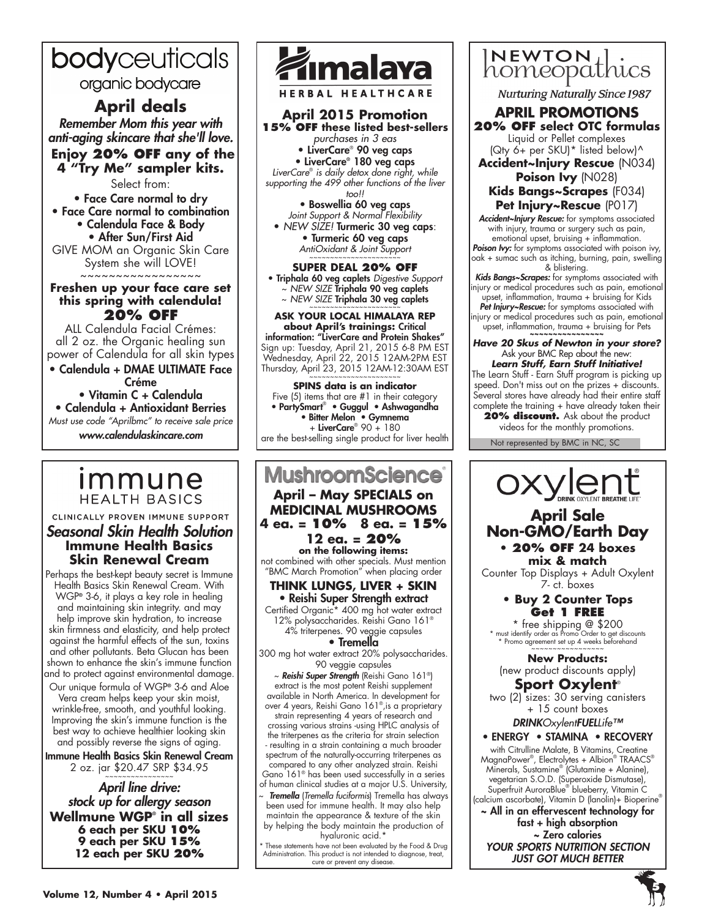# bodyceuticals

organic bodycare

# **April deals**

*Remember Mom this year with anti-aging skincare that she'll love.*  **Enjoy 20% OFF any of the 4 "Try Me" sampler kits.**

Select from:

• Face Care normal to dry • Face Care normal to combination • Calendula Face & Body • After Sun/First Aid GIVE MOM an Organic Skin Care System she will LOVE! ~~~~~~~~~~~~~~~~~

**Freshen up your face care set this spring with calendula! 20% OFF**

ALL Calendula Facial Crémes: all 2 oz. the Organic healing sun power of Calendula for all skin types

• Calendula + DMAE ULTIMATE Face Créme • Vitamin C + Calendula

• Calendula + Antioxidant Berries *Must use code "Aprilbmc" to receive sale price www.calendulaskincare.com*

# *Immune* **HEALTH BASICS**

CLINICALLY PROVEN IMMUNE SUPPORT *Seasonal Skin Health Solution* **Immune Health Basics Skin Renewal Cream**

Perhaps the best-kept beauty secret is Immune Health Basics Skin Renewal Cream. With WGP**®** 3-6, it plays a key role in healing and maintaining skin integrity. and may help improve skin hydration, to increase skin firmness and elasticity, and help protect against the harmful effects of the sun, toxins and other pollutants. Beta Glucan has been shown to enhance the skin's immune function and to protect against environmental damage.

Our unique formula of WGP**®** 3-6 and Aloe Vera cream helps keep your skin moist, wrinkle-free, smooth, and youthful looking. Improving the skin's immune function is the best way to achieve healthier looking skin and possibly reverse the signs of aging.

Immune Health Basics Skin Renewal Cream 2 oz. jar \$20.47 SRP \$34.95

*April line drive: stock up for allergy season* **Wellmune WGP® in all sizes 6 each per SKU 10% 9 each per SKU 15% 12 each per SKU 20%**



**HERBAL HEALTHCARE** 

**April 2015 Promotion 15% OFF these listed best-sellers** *purchases in 3 eas* • LiverCare® 90 veg caps • LiverCare® 180 veg caps *LiverCare*®  *is daily detox done right, while supporting the 499 other functions of the liver too!!*

• Boswellia 60 veg caps *Joint Support & Normal Flexibility* • *NEW SIZE!* Turmeric 30 veg caps:

• Turmeric 60 veg caps *AntiOxidant & Joint Support* ~~~~~~~~~~~~~~~~~~~~~~

## **SUPER DEAL 20% OFF**

• Triphala 60 veg caplets *Digestive Support* ~ *NEW SIZE* Triphala 90 veg caplets

~ NEW SIZE Triphala 30 veg caplets **ASK YOUR LOCAL HIMALAYA REP** 

**about April's trainings:** Critical information: "LiverCare and Protein Shakes" Sign up: Tuesday, April 21, 2015 6-8 PM EST Wednesday, April 22, 2015 12AM-2PM EST Thursday, April 23, 2015 12AM-12:30AM EST

**SPINS data is an indicator** Five (5) items that are #1 in their category • PartySmart® • Guggul • Ashwagandha • Bitter Melon • Gymnema + LiverCare® 90 + 180 are the best-selling single product for liver health

# **MushroomScience April – May SPECIALS on**

**MEDICINAL MUSHROOMS 4 ea. = 10% 8 ea. = 15% 12 ea. = 20%** 

**on the following items:**  not combined with other specials. Must mention "BMC March Promotion" when placing order

#### **THINK LUNGS, LIVER + SKIN** • Reishi Super Strength extract

Certified Organic\* 400 mg hot water extract 12% polysaccharides. Reishi Gano 161® 4% triterpenes. 90 veggie capsules

#### • Tremella

300 mg hot water extract 20% polysaccharides. 90 veggie capsules

~ *Reishi Super Strength* (Reishi Gano 161®) extract is the most potent Reishi supplement available in North America. In development for over 4 years, Reishi Gano 161®,is a proprietary strain representing 4 years of research and crossing various strains -using HPLC analysis of the triterpenes as the criteria for strain selection - resulting in a strain containing a much broader spectrum of the naturally-occurring triterpenes as compared to any other analyzed strain. Reishi Gano 161® has been used successfully in a series of human clinical studies at a major U.S. University, ~ *Tremella* (*Tremella fuciformis*) Tremella has always

been used for immune health. It may also help maintain the appearance & texture of the skin by helping the body maintain the production of hyaluronic acid.\*

\* These statements have not been evaluated by the Food & Drug Administration. This product is not intended to diagnose, treat, cure or prevent any disease.



**Nurturing Naturally Since 1987** 

## **APRIL Promotions 20% OFF select OTC formulas** Liquid or Pellet complexes

(Qty 6+ per SKU)\* listed below)^ **Accident~Injury Rescue** (N034)

## **Poison Ivy** (N028) **Kids Bangs~Scrapes** (F034) **Pet Injury~Rescue** (P017)

*Accident~Injury Rescue:* for symptoms associated with injury, trauma or surgery such as pain, emotional upset, bruising + inflammation. *Poison Ivy:* for symptoms associated with poison ivy, oak + sumac such as itching, burning, pain, swelling

& blistering. *Kids Bangs~Scrapes:* for symptoms associated with injury or medical procedures such as pain, emotional upset, inflammation, trauma + bruising for Kids *Pet Injury~Rescue:* for symptoms associated with injury or medical procedures such as pain, emotional upset, inflammation, trauma + bruising for Pets

# *Have 20 Skus of Newton in your store?*  Ask your BMC Rep about the new:

*Learn Stuff, Earn Stuff Initiative!* The Learn Stuff - Earn Stuff program is picking up speed. Don't miss out on the prizes + discounts. Several stores have already had their entire staff complete the training + have already taken their

20% **discount.** Ask about the product videos for the monthly promotions.

Not represented by BMC in NC, SC

# OXYLONE

# **April Sale Non-GMO/Earth Day**

**• 20% OFF 24 boxes mix & match**

Counter Top Displays + Adult Oxylent 7- ct. boxes

## **• Buy 2 Counter Tops Get 1 FREE**

\* free shipping @ \$200 \* must identify order as Promo Order to get discounts \* Promo agreement set up 4 weeks beforehand ~~~~~~~~~~~~~~~~~

**New Products:** (new product discounts apply)

**Sport Oxylent**® two (2) sizes: 30 serving canisters + 15 count boxes

*DRINKOxylentFUELLife™*

# • ENERGY • STAMINA • RECOVERY

 with Citrulline Malate, B Vitamins, Creatine MagnaPower® , Electrolytes + Albion® TRAACS® Minerals, Sustamine® (Glutamine + Alanine), vegetarian S.O.D. (Superoxide Dismutase), Superfruit AuroraBlue® blueberry, Vitamin C (calcium ascorbate), Vitamin D (lanolin)+ Bioperine®

~ All in an effervescent technology for fast + high absorption ~ Zero calories *YOUR SPORTS NUTRITION SECTION JUST GOT MUCH BETTER*

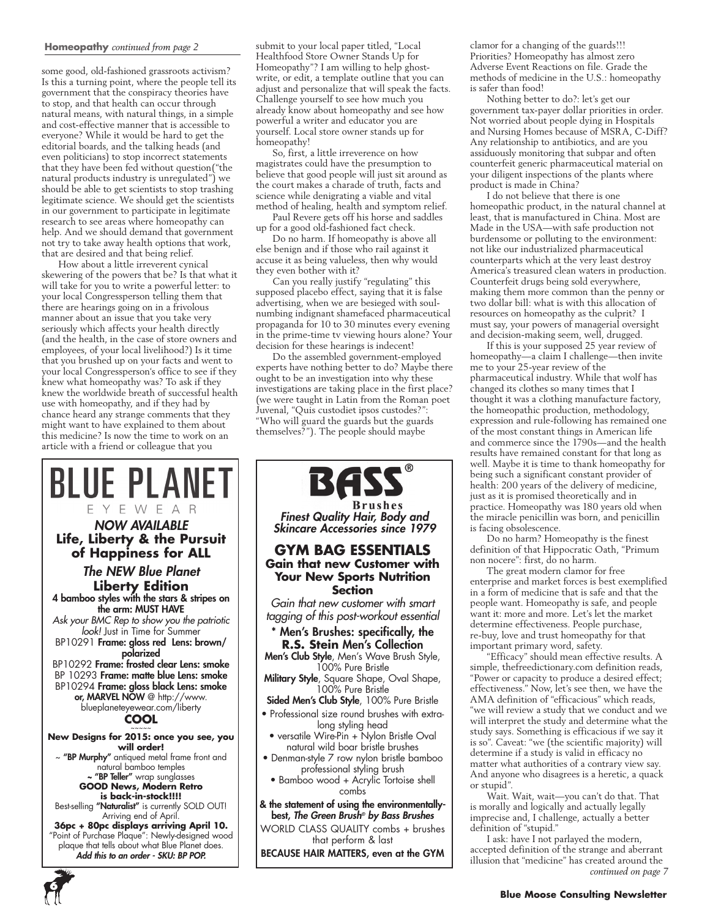#### **Homeopathy** *continued from page 2*

some good, old-fashioned grassroots activism? Is this a turning point, where the people tell its government that the conspiracy theories have to stop, and that health can occur through natural means, with natural things, in a simple and cost-effective manner that is accessible to everyone? While it would be hard to get the editorial boards, and the talking heads (and even politicians) to stop incorrect statements that they have been fed without question("the natural products industry is unregulated") we should be able to get scientists to stop trashing legitimate science. We should get the scientists in our government to participate in legitimate research to see areas where homeopathy can help. And we should demand that government not try to take away health options that work, that are desired and that being relief.

How about a little irreverent cynical skewering of the powers that be? Is that what it will take for you to write a powerful letter: to your local Congressperson telling them that there are hearings going on in a frivolous manner about an issue that you take very seriously which affects your health directly (and the health, in the case of store owners and employees, of your local livelihood?) Is it time that you brushed up on your facts and went to your local Congressperson's office to see if they knew what homeopathy was? To ask if they knew the worldwide breath of successful health use with homeopathy, and if they had by chance heard any strange comments that they might want to have explained to them about this medicine? Is now the time to work on an article with a friend or colleague that you



**6**

submit to your local paper titled, "Local Healthfood Store Owner Stands Up for Homeopathy"? I am willing to help ghostwrite, or edit, a template outline that you can adjust and personalize that will speak the facts. Challenge yourself to see how much you already know about homeopathy and see how powerful a writer and educator you are yourself. Local store owner stands up for homeopathy!

So, first, a little irreverence on how magistrates could have the presumption to believe that good people will just sit around as the court makes a charade of truth, facts and science while denigrating a viable and vital method of healing, health and symptom relief.

Paul Revere gets off his horse and saddles up for a good old-fashioned fact check.

Do no harm. If homeopathy is above all else benign and if those who rail against it accuse it as being valueless, then why would they even bother with it?

Can you really justify "regulating" this supposed placebo effect, saying that it is false advertising, when we are besieged with soulnumbing indignant shamefaced pharmaceutical propaganda for 10 to 30 minutes every evening in the prime-time tv viewing hours alone? Your decision for these hearings is indecent!

Do the assembled government-employed experts have nothing better to do? Maybe there ought to be an investigation into why these investigations are taking place in the first place? (we were taught in Latin from the Roman poet Juvenal, "Quis custodiet ipsos custodes?": "Who will guard the guards but the guards themselves?"). The people should maybe



clamor for a changing of the guards!!! Priorities? Homeopathy has almost zero Adverse Event Reactions on file. Grade the methods of medicine in the U.S.: homeopathy is safer than food!

Nothing better to do?: let's get our government tax-payer dollar priorities in order. Not worried about people dying in Hospitals and Nursing Homes because of MSRA, C-Diff? Any relationship to antibiotics, and are you assiduously monitoring that subpar and often counterfeit generic pharmaceutical material on your diligent inspections of the plants where product is made in China?

I do not believe that there is one homeopathic product, in the natural channel at least, that is manufactured in China. Most are Made in the USA—with safe production not burdensome or polluting to the environment: not like our industrialized pharmaceutical counterparts which at the very least destroy America's treasured clean waters in production. Counterfeit drugs being sold everywhere, making them more common than the penny or two dollar bill: what is with this allocation of resources on homeopathy as the culprit? I must say, your powers of managerial oversight and decision-making seem, well, drugged.

If this is your supposed 25 year review of homeopathy—a claim I challenge—then invite me to your 25-year review of the pharmaceutical industry. While that wolf has changed its clothes so many times that I thought it was a clothing manufacture factory, the homeopathic production, methodology, expression and rule-following has remained one of the most constant things in American life and commerce since the 1790s—and the health results have remained constant for that long as well. Maybe it is time to thank homeopathy for being such a significant constant provider of health: 200 years of the delivery of medicine, just as it is promised theoretically and in practice. Homeopathy was 180 years old when the miracle penicillin was born, and penicillin is facing obsolescence.

Do no harm? Homeopathy is the finest definition of that Hippocratic Oath, "Primum non nocere": first, do no harm.

The great modern clamor for free enterprise and market forces is best exemplified in a form of medicine that is safe and that the people want. Homeopathy is safe, and people want it: more and more. Let's let the market determine effectiveness. People purchase, re-buy, love and trust homeopathy for that important primary word, safety.

"Efficacy" should mean effective results. A simple, thefreedictionary.com definition reads, "Power or capacity to produce a desired effect; effectiveness." Now, let's see then, we have the AMA definition of "efficacious" which reads, "we will review a study that we conduct and we will interpret the study and determine what the study says. Something is efficacious if we say it is so". Caveat: "we (the scientific majority) will determine if a study is valid in efficacy no matter what authorities of a contrary view say. And anyone who disagrees is a heretic, a quack or stupid".

Wait. Wait, wait—you can't do that. That is morally and logically and actually legally imprecise and, I challenge, actually a better definition of "stupid."

I ask: have I not parlayed the modern, accepted definition of the strange and aberrant illusion that "medicine" has created around the *continued on page 7*

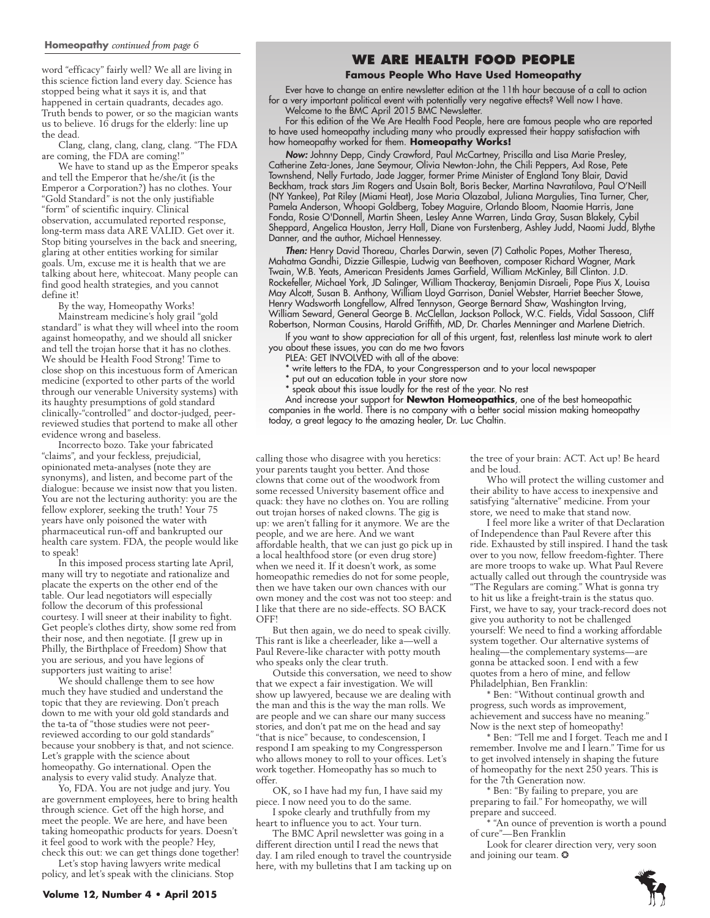#### **Homeopathy** *continued from page 6*

word "efficacy" fairly well? We all are living in this science fiction land every day. Science has stopped being what it says it is, and that happened in certain quadrants, decades ago. Truth bends to power, or so the magician wants us to believe. 16 drugs for the elderly: line up the dead.

Clang, clang, clang, clang, clang. "The FDA are coming, the FDA are coming!"

We have to stand up as the Emperor speaks and tell the Emperor that he/she/it (is the Emperor a Corporation?) has no clothes. Your "Gold Standard" is not the only justifiable "form" of scientific inquiry. Clinical observation, accumulated reported response, long-term mass data ARE VALID. Get over it. Stop biting yourselves in the back and sneering, glaring at other entities working for similar goals. Um, excuse me it is health that we are talking about here, whitecoat. Many people can find good health strategies, and you cannot define it!

By the way, Homeopathy Works!

Mainstream medicine's holy grail "gold standard" is what they will wheel into the room against homeopathy, and we should all snicker and tell the trojan horse that it has no clothes. We should be Health Food Strong! Time to close shop on this incestuous form of American medicine (exported to other parts of the world through our venerable University systems) with its haughty presumptions of gold standard clinically-"controlled" and doctor-judged, peerreviewed studies that portend to make all other evidence wrong and baseless.

Incorrecto bozo. Take your fabricated "claims", and your feckless, prejudicial, opinionated meta-analyses (note they are synonyms), and listen, and become part of the dialogue: because we insist now that you listen. You are not the lecturing authority: you are the fellow explorer, seeking the truth! Your 75 years have only poisoned the water with pharmaceutical run-off and bankrupted our health care system. FDA, the people would like to speak!

In this imposed process starting late April, many will try to negotiate and rationalize and placate the experts on the other end of the table. Our lead negotiators will especially follow the decorum of this professional courtesy. I will sneer at their inability to fight. Get people's clothes dirty, show some red from their nose, and then negotiate. {I grew up in Philly, the Birthplace of Freedom) Show that you are serious, and you have legions of supporters just waiting to arise!

We should challenge them to see how much they have studied and understand the topic that they are reviewing. Don't preach down to me with your old gold standards and the ta-ta of "those studies were not peerreviewed according to our gold standards" because your snobbery is that, and not science. Let's grapple with the science about homeopathy. Go international. Open the analysis to every valid study. Analyze that.

Yo, FDA. You are not judge and jury. You are government employees, here to bring health through science. Get off the high horse, and meet the people. We are here, and have been taking homeopathic products for years. Doesn't it feel good to work with the people? Hey, check this out: we can get things done together! Let's stop having lawyers write medical

policy, and let's speak with the clinicians. Stop

# **We Are Health Food People**

#### **Famous People Who Have Used Homeopathy**

Ever have to change an entire newsletter edition at the 11th hour because of a call to action for a very important political event with potentially very negative effects? Well now I have.

Welcome to the BMC April 2015 BMC Newsletter. For this edition of the We Are Health Food People, here are famous people who are reported

to have used homeopathy including many who proudly expressed their happy satisfaction with how homeopathy worked for them. **Homeopathy Works!**

*Now:* Johnny Depp, Cindy Crawford, Paul McCartney, Priscilla and Lisa Marie Presley, Catherine Zeta-Jones, Jane Seymour, Olivia Newton-John, the Chili Peppers, Axl Rose, Pete Townshend, Nelly Furtado, Jade Jagger, former Prime Minister of England Tony Blair, David Beckham, track stars Jim Rogers and Usain Bolt, Boris Becker, Martina Navratilova, Paul O'Neill (NY Yankee), Pat Riley (Miami Heat), Jose Maria Olazabal, Juliana Margulies, Tina Turner, Cher, Pamela Anderson, Whoopi Goldberg, Tobey Maguire, Orlando Bloom, Naomie Harris, Jane Fonda, Rosie O'Donnell, Martin Sheen, Lesley Anne Warren, Linda Gray, Susan Blakely, Cybil Sheppard, Angelica Houston, Jerry Hall, Diane von Furstenberg, Ashley Judd, Naomi Judd, Blythe Danner, and the author, Michael Hennessey.

*Then:* Henry David Thoreau, Charles Darwin, seven (7) Catholic Popes, Mother Theresa, Mahatma Gandhi, Dizzie Gillespie, Ludwig van Beethoven, composer Richard Wagner, Mark Twain, W.B. Yeats, American Presidents James Garfield, William McKinley, Bill Clinton. J.D. Rockefeller, Michael York, JD Salinger, William Thackeray, Benjamin Disraeli, Pope Pius X, Louisa May Alcott, Susan B. Anthony, William Lloyd Garrison, Daniel Webster, Harriet Beecher Stowe, Henry Wadsworth Longfellow, Alfred Tennyson, George Bernard Shaw, Washington Irving, William Seward, General George B. McClellan, Jackson Pollock, W.C. Fields, Vidal Sassoon, Cliff Robertson, Norman Cousins, Harold Griffith, MD, Dr. Charles Menninger and Marlene Dietrich.

If you want to show appreciation for all of this urgent, fast, relentless last minute work to alert you about these issues, you can do me two favors

PLEA: GET INVOLVED with all of the above:

write letters to the FDA, to your Congressperson and to your local newspaper

put out an education table in your store now

speak about this issue loudly for the rest of the year. No rest

And increase your support for **Newton Homeopathics**, one of the best homeopathic companies in the world. There is no company with a better social mission making homeopathy today, a great legacy to the amazing healer, Dr. Luc Chaltin.

calling those who disagree with you heretics: your parents taught you better. And those clowns that come out of the woodwork from some recessed University basement office and quack: they have no clothes on. You are rolling out trojan horses of naked clowns. The gig is up: we aren't falling for it anymore. We are the people, and we are here. And we want affordable health, that we can just go pick up in a local healthfood store (or even drug store) when we need it. If it doesn't work, as some homeopathic remedies do not for some people, then we have taken our own chances with our own money and the cost was not too steep: and I like that there are no side-effects. SO BACK  $OFF<sup>1</sup>$ 

But then again, we do need to speak civilly. This rant is like a cheerleader, like a—well a Paul Revere-like character with potty mouth who speaks only the clear truth.

Outside this conversation, we need to show that we expect a fair investigation. We will show up lawyered, because we are dealing with the man and this is the way the man rolls. We are people and we can share our many success stories, and don't pat me on the head and say "that is nice" because, to condescension, I respond I am speaking to my Congressperson who allows money to roll to your offices. Let's work together. Homeopathy has so much to offer.

OK, so I have had my fun, I have said my piece. I now need you to do the same.

I spoke clearly and truthfully from my heart to influence you to act. Your turn.

The BMC April newsletter was going in a different direction until I read the news that day. I am riled enough to travel the countryside here, with my bulletins that I am tacking up on the tree of your brain: ACT. Act up! Be heard and be loud.

Who will protect the willing customer and their ability to have access to inexpensive and satisfying "alternative" medicine. From your store, we need to make that stand now.

I feel more like a writer of that Declaration of Independence than Paul Revere after this ride. Exhausted by still inspired. I hand the task over to you now, fellow freedom-fighter. There are more troops to wake up. What Paul Revere actually called out through the countryside was "The Regulars are coming." What is gonna try to hit us like a freight-train is the status quo. First, we have to say, your track-record does not give you authority to not be challenged yourself: We need to find a working affordable system together. Our alternative systems of healing—the complementary systems—are gonna be attacked soon. I end with a few quotes from a hero of mine, and fellow Philadelphian, Ben Franklin:

\* Ben: "Without continual growth and progress, such words as improvement, achievement and success have no meaning." Now is the next step of homeopathy!

\* Ben: "Tell me and I forget. Teach me and I remember. Involve me and I learn." Time for us to get involved intensely in shaping the future of homeopathy for the next 250 years. This is for the 7th Generation now.

\* Ben: "By failing to prepare, you are preparing to fail." For homeopathy, we will prepare and succeed.

\* "An ounce of prevention is worth a pound of cure"—Ben Franklin

Look for clearer direction very, very soon and joining our team. ❂